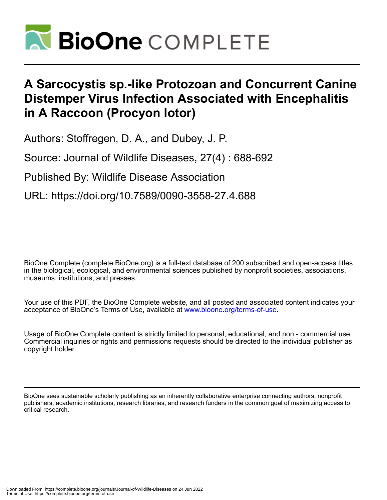

## **A Sarcocystis sp.-like Protozoan and Concurrent Canine Distemper Virus Infection Associated with Encephalitis in A Raccoon (Procyon lotor)**

Authors: Stoffregen, D. A., and Dubey, J. P.

Source: Journal of Wildlife Diseases, 27(4) : 688-692

Published By: Wildlife Disease Association

URL: https://doi.org/10.7589/0090-3558-27.4.688

BioOne Complete (complete.BioOne.org) is a full-text database of 200 subscribed and open-access titles in the biological, ecological, and environmental sciences published by nonprofit societies, associations, museums, institutions, and presses.

Your use of this PDF, the BioOne Complete website, and all posted and associated content indicates your acceptance of BioOne's Terms of Use, available at www.bioone.org/terms-of-use.

Usage of BioOne Complete content is strictly limited to personal, educational, and non - commercial use. Commercial inquiries or rights and permissions requests should be directed to the individual publisher as copyright holder.

BioOne sees sustainable scholarly publishing as an inherently collaborative enterprise connecting authors, nonprofit publishers, academic institutions, research libraries, and research funders in the common goal of maximizing access to critical research.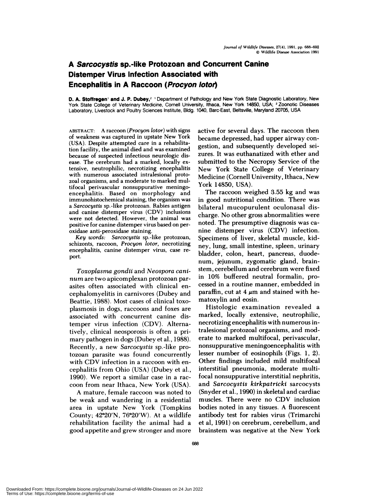## **A Sarcocystis sp.-Iike Protozoan and Concurrent Canine Distemper Virus Infection Associated with Encephalitis in A Raccoon (Procyon lotor)**

**D. A. Stoifregen' and J. P. Dubey,2** 'Department of Pathology and New York State Diagnostic Laboratory, New York State College of Veterinary Medicine, Cornell University, Ithaca, New York 14850, USA; <sup>2</sup> Zoonotic Diseases Laboratory, Livestock and Poultry Sciences Institute, Bldg. 1040, Barc-East, Beltsville, Maryland 20705, USA

ABSTRACT: A raccoon *(Procyon lotor)* with signs of weakness was captured in upstate New York (USA). Despite attempted care in a rehabilitation facility, the animal died and was examined because of suspected infectious neurologic dis ease. The cerebrum had a marked, locally ex**tensive,** neutrophilic, necrotizing encephalitis with numerous associated intralesional proto zoal organisms, and a moderate to marked multifocal penivascular nonsuppurative meningoencephalitis. Based on morphology and immunohistochemical staining, the organism was a *Sarcocystis* sp. -like protozoan. Rabies antigen and canine distemper virus (CDV) inclusions were not detected. However, the animal was positive for canine distemper virus based on peroxidase anti-peroxidase staining.

*Key words: Sarcocystis* sp. -like protozoan, schizonts, raccoon, *Procyon lotor,* necrotizing encephalitis, canine distemper virus, case re port.

*Toxop!asma gondii* and *Neospora cani num* are two apicomplexan protozoan par asites often associated with clinical en cephalomyelitis in carnivores (Dubey and Beattie, 1988). Most cases of clinical toxoplasmosis in dogs, raccoons and foxes are associated with concurrent canine distemper virus infection (CDV). Alternatively, clinical neosporosis is often a pri mary pathogen in dogs (Dubey et al., 1988). Recently, a new *Sarcocystis* sp.-like protozoan parasite was found concurrently with CDV infection in a raccoon with en cephalitis from Ohio (USA) (Dubey et al., 1990). We report a similar case in a rac coon from near Ithaca, New York (USA).

A mature, female raccoon was noted to be weak and wandering in a residential area in upstate New York (Tompkins County;  $42^{\circ}20'N$ ,  $76^{\circ}20'W$ ). At a wildlife rehabilitation facility the animal had a good appetite and grew stronger and more active for several days. The raccoon then became depressed, had upper airway con gestion, and subsequently developed sei zures. It was euthanatized with ether and submitted to the Necropsy Service of the New York State College of Veterinary Medicine (Cornell University, Ithaca, New York 14850, USA).

The raccoon weighed 3.55 kg and was in good nutritional condition. There was bilateral mucopurulent oculonasal discharge. No other gross abnormalities were noted. The presumptive diagnosis was ca nine distemper virus (CDV) infection. Specimens of liver, skeletal muscle, kidney, lung, small intestine, spleen, urinary bladder, colon, heart, pancreas, duodenum, jejunum, zygomatic gland, brainstem, cerebellum and cerebrum were fixed in 10% buffered neutral formalin, processed in a routine manner, embedded in paraffin, cut at 4  $\mu$ m and stained with hematoxylin and eosin.

Histologic examination revealed a marked, locally extensive, neutrophilic, necrotizing encephalitis with numerous intralesional protozoa! organisms, and moderate to marked multifocal, perivascular, nonsuppurative meningoencephalitis with lesser number of eosinophils  $(Figs. 1, 2)$ . Other findings included mild multifocal interstitial pneumonia, moderate multifocal nonsuppurative interstitial nephritis, and *Sarcocystis kirk patricki* sarcocysts (Snyder et a!., 1990) in skeletal and cardiac muscles. There were no CDV inclusion bodies noted in any tissues. A fluorescent antibody test for rabies virus (Trimarchi et al, 1991) on cerebrum, cerebellum, and brainstem was negative at the New York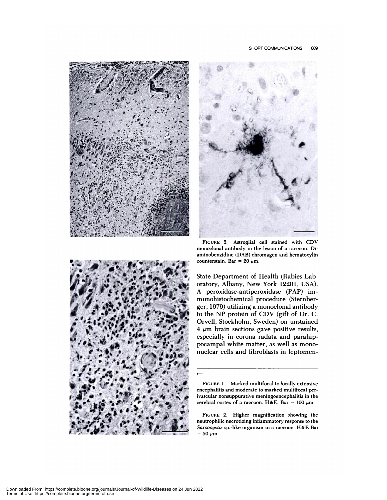





FIGURE 3. Astroglial cell stained with CDV **monoclonal antibody in** the lesion of a raccoon. Diaminobenzidine (DAB) chromagen and hematoxylin counterstain. Bar = 20  $\mu$ m.

State Department of Health (Rabies Laboratory, Albany, New York 12201, USA). A peroxidase-antiperoxidase (PAP) immunohistochemica! procedure (Sternberger, 1979) utilizing a monoclonal antibody to the NP protein of CDV (gift of Dr. C. Orvell, Stockholm, Sweden) on unstained  $4 \mu m$  brain sections gave positive results, especially in corona radata and parahippocampal white matter, as well as mononuclear cells and fibroblasts in leptomen-

 $\overline{\phantom{0}}$ 

**FIGURE** 1. Marked multifocal to 'ocally extensive encephalitis and moderate to marked multifocal perivascular nonsuppurative meningoencephalitis in the cerebral cortex of a raccoon. H&E. Bar = 100  $\mu$ m.

FIGURE 2. Higher magnification showing the neutrophilic necrotizing inflammatory response to the *Sarcocystis* sp.-like organism in a raccoon. H&E Bar  $= 50 \mu m$ .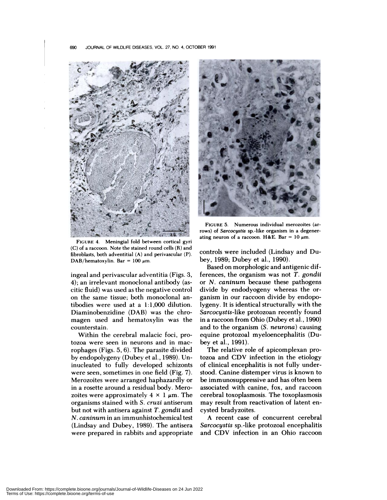

FIGURE 4. Meningial fold between cortical gyri (C) of a raccoon. Note the stained round cells (R) and fibroblasts, both adventitial (A) and perivascular (P). **DAB/hematoxylin.** Bar =  $100 \mu m$ .

ingeal and perivascular adventitia (Figs. 3, 4); an irrelevant monoclonal antibody (as citic fluid) was used as the negative control on the same tissue; both monoclonal antibodies were used at a  $1:1,000$  dilution. Diaminobenzidine (DAB) was the chromagen used and hematoxylin was the counterstain.

Within the cerebral malacic foci, protozoa were seen in neurons and in macrophages (Figs. 5, 6). The parasite divided by endopolygeny (Dubey et a!. *,* 1989). Uninucleated to fully developed schizonts were seen, sometimes in one field (Fig. *7).* Merozoites were arranged haphazardly or in a rosette around a residual body. Mero zoites were approximately  $4 \times 1 \mu m$ . The organisms stained with *S. cruzi* antiserum but not with antisera against *T. gondii* and *N. caninum* in an immunhistochemical test (Lindsay and Dubey, 1989). The antisera were prepared in rabbits and appropriate



FIGURE 5. Numerous individual merozoites (arrows) of *Sarcocystis* **sp.-like organism in a degener**ating neuron of a raccoon. H&E. Bar =  $10 \mu m$ .

controls were included (Lindsay and Dubey, 1989; Dubey et a!., 1990).

Based on morphologic and antigenic differences, the organism was not *T. gondii* or *N. caninum* because these pathogens divide by endodyogeny whereas the or ganism in our raccoon divide by endopolygeny. It is identical structurally with the *Sarcocystis-like* protozoan recently found in a raccoon from Ohio (Dubey et a!., 1990) and to the organism *(S. neurona)* causing equine protozoal myeloencephalitis (Dubey et a!., 1991).

The relative role of apicomplexan protozoa and CDV infection in the etiology of clinical encephalitis is not fully understood. Canine distemper virus is known to be immunosuppressive and has often been associated with canine, fox, and raccoon cerebral toxoplasmosis. The toxoplasmosis may result from reactivation of latent encysted bradyzoites.

A recent case of concurrent cerebral *Sarcocystis* sp.-like protozoa! encephalitis and CDV infection in an Ohio raccoon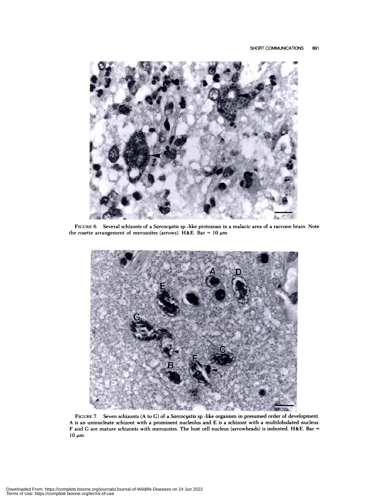

FIGURE 6. Several schizonts of a *Sarcocystis* sp.-like protozoan in a malacic area of a raccoon brain. Note the rosette arrangement of merozoites (arrows). H&E. Bar = 10  $\mu$ m.



**FIGURE** 7. Seven schizonts (A to C) of a *Sarcocystis* sp.-like organism in presumed order of development. A is an uninucleate schizont with a prominent nucleolus and E is a schizont with a multilobulated nucleus. F and C aremature schizonts with merozoites. The host cell nucleus (arrowheads) is indented. H&E. Bar **=**  $10 \mu m$ .